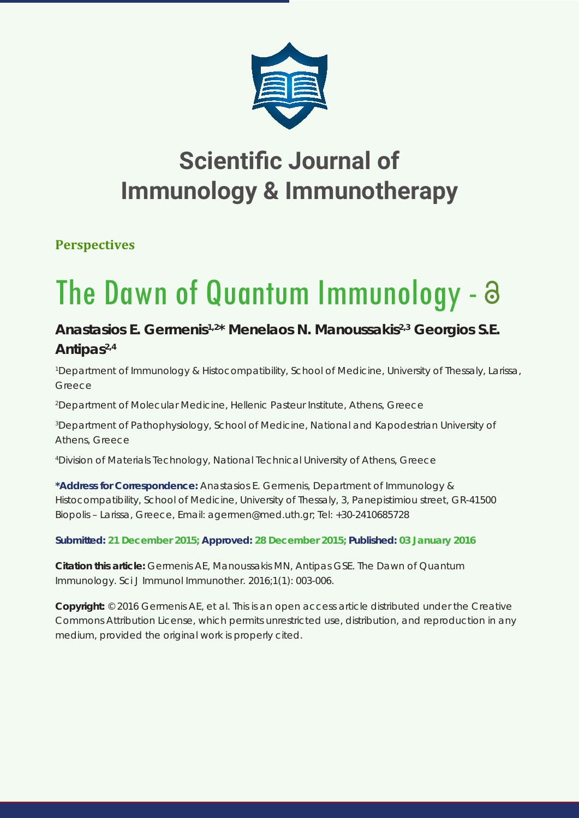

## **Scientific Journal of Immunology & Immunotherapy**

**Perspectives**

# The Dawn of Quantum Immunology -

### **Anastasios E. Germenis1,2\* Menelaos N. Manoussakis2,3 Georgios S.E.**  Antipas<sup>2,4</sup>

*1 Department of Immunology & Histocompatibility, School of Medicine, University of Thessaly, Larissa, Greece*

*2 Department of Molecular Medicine, Hellenic Pasteur Institute, Athens, Greece*

*3 Department of Pathophysiology, School of Medicine, National and Kapodestrian University of Athens, Greece*

*4 Division of Materials Technology, National Technical University of Athens, Greece*

**\*Address for Correspondence:** Anastasios E. Germenis, Department of Immunology & Histocompatibility, School of Medicine, University of Thessaly, 3, Panepistimiou street, GR-41500 Biopolis – Larissa, Greece, Email: agermen@med.uth.gr; Tel: +30-2410685728

**Submitted: 21 December 2015; Approved: 28 December 2015; Published: 03 January 2016**

**Citation this article:** Germenis AE, Manoussakis MN, Antipas GSE. The Dawn of Quantum Immunology. Sci J Immunol Immunother. 2016;1(1): 003-006.

**Copyright:** © 2016 Germenis AE, et al. This is an open access article distributed under the Creative Commons Attribution License, which permits unrestricted use, distribution, and reproduction in any medium, provided the original work is properly cited.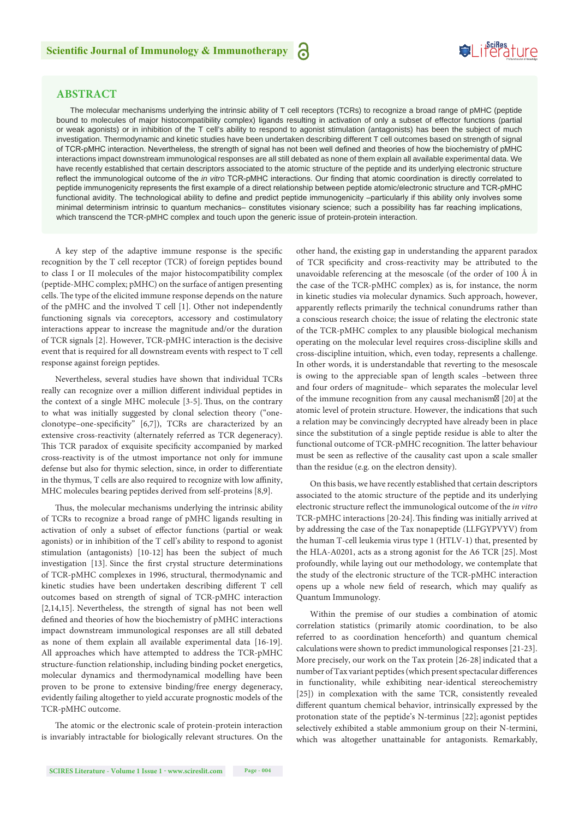

#### **ABSTRACT**

The molecular mechanisms underlying the intrinsic ability of T cell receptors (TCRs) to recognize a broad range of pMHC (peptide bound to molecules of major histocompatibility complex) ligands resulting in activation of only a subset of effector functions (partial or weak agonists) or in inhibition of the T cell's ability to respond to agonist stimulation (antagonists) has been the subject of much investigation. Thermodynamic and kinetic studies have been undertaken describing different T cell outcomes based on strength of signal of TCR-pMHC interaction. Nevertheless, the strength of signal has not been well defined and theories of how the biochemistry of pMHC interactions impact downstream immunological responses are all still debated as none of them explain all available experimental data. We have recently established that certain descriptors associated to the atomic structure of the peptide and its underlying electronic structure reflect the immunological outcome of the *in vitro* TCR-pMHC interactions. Our finding that atomic coordination is directly correlated to peptide immunogenicity represents the first example of a direct relationship between peptide atomic/electronic structure and TCR-pMHC functional avidity. The technological ability to define and predict peptide immunogenicity –particularly if this ability only involves some minimal determinism intrinsic to quantum mechanics– constitutes visionary science; such a possibility has far reaching implications, which transcend the TCR-pMHC complex and touch upon the generic issue of protein-protein interaction.

a

A key step of the adaptive immune response is the specific recognition by the T cell receptor (TCR) of foreign peptides bound to class I or II molecules of the major histocompatibility complex (peptide-MHC complex; pMHC) on the surface of antigen presenting cells. The type of the elicited immune response depends on the nature of the pMHC and the involved T cell [1]. Other not independently functioning signals via coreceptors, accessory and costimulatory interactions appear to increase the magnitude and/or the duration of TCR signals [2]. However, TCR-pMHC interaction is the decisive event that is required for all downstream events with respect to T cell response against foreign peptides.

Nevertheless, several studies have shown that individual TCRs really can recognize over a million different individual peptides in the context of a single MHC molecule [3-5]. Thus, on the contrary to what was initially suggested by clonal selection theory ("oneclonotype–one-specificity" [6,7]), TCRs are characterized by an extensive cross-reactivity (alternately referred as TCR degeneracy). This TCR paradox of exquisite specificity accompanied by marked cross-reactivity is of the utmost importance not only for immune defense but also for thymic selection, since, in order to differentiate in the thymus, T cells are also required to recognize with low affinity, MHC molecules bearing peptides derived from self-proteins [8,9].

Thus, the molecular mechanisms underlying the intrinsic ability of TCRs to recognize a broad range of pMHC ligands resulting in activation of only a subset of effector functions (partial or weak agonists) or in inhibition of the T cell's ability to respond to agonist stimulation (antagonists) [10-12] has been the subject of much investigation [13]. Since the first crystal structure determinations of TCR-pMHC complexes in 1996, structural, thermodynamic and kinetic studies have been undertaken describing different T cell outcomes based on strength of signal of TCR-pMHC interaction [2,14,15]. Nevertheless, the strength of signal has not been well defined and theories of how the biochemistry of pMHC interactions impact downstream immunological responses are all still debated as none of them explain all available experimental data [16-19]. All approaches which have attempted to address the TCR-pMHC structure-function relationship, including binding pocket energetics, molecular dynamics and thermodynamical modelling have been proven to be prone to extensive binding/free energy degeneracy, evidently failing altogether to yield accurate prognostic models of the TCR-pMHC outcome.

The atomic or the electronic scale of protein-protein interaction is invariably intractable for biologically relevant structures. On the

other hand, the existing gap in understanding the apparent paradox of TCR specificity and cross-reactivity may be attributed to the unavoidable referencing at the mesoscale (of the order of 100 Å in the case of the TCR-pMHC complex) as is, for instance, the norm in kinetic studies via molecular dynamics. Such approach, however, apparently reflects primarily the technical conundrums rather than a conscious research choice; the issue of relating the electronic state of the TCR-pMHC complex to any plausible biological mechanism operating on the molecular level requires cross-discipline skills and cross-discipline intuition, which, even today, represents a challenge. In other words, it is understandable that reverting to the mesoscale is owing to the appreciable span of length scales –between three and four orders of magnitude– which separates the molecular level of the immune recognition from any causal mechanism� [20] at the atomic level of protein structure. However, the indications that such a relation may be convincingly decrypted have already been in place since the substitution of a single peptide residue is able to alter the functional outcome of TCR-pMHC recognition. The latter behaviour must be seen as reflective of the causality cast upon a scale smaller than the residue (e.g. on the electron density).

On this basis, we have recently established that certain descriptors associated to the atomic structure of the peptide and its underlying electronic structure reflect the immunological outcome of the *in vitro* TCR-pMHC interactions [20-24].This finding was initially arrived at by addressing the case of the Tax nonapeptide (LLFGYPVYV) from the human T-cell leukemia virus type 1 (HTLV-1) that, presented by the HLA-A0201, acts as a strong agonist for the A6 TCR [25]. Most profoundly, while laying out our methodology, we contemplate that the study of the electronic structure of the TCR-pMHC interaction opens up a whole new field of research, which may qualify as Quantum Immunology.

Within the premise of our studies a combination of atomic correlation statistics (primarily atomic coordination, to be also referred to as coordination henceforth) and quantum chemical calculations were shown to predict immunological responses [21-23]. More precisely, our work on the Tax protein [26-28] indicated that a number of Tax variant peptides (which present spectacular differences in functionality, while exhibiting near-identical stereochemistry [25]) in complexation with the same TCR, consistently revealed different quantum chemical behavior, intrinsically expressed by the protonation state of the peptide's N-terminus [22]; agonist peptides selectively exhibited a stable ammonium group on their N-termini, which was altogether unattainable for antagonists. Remarkably,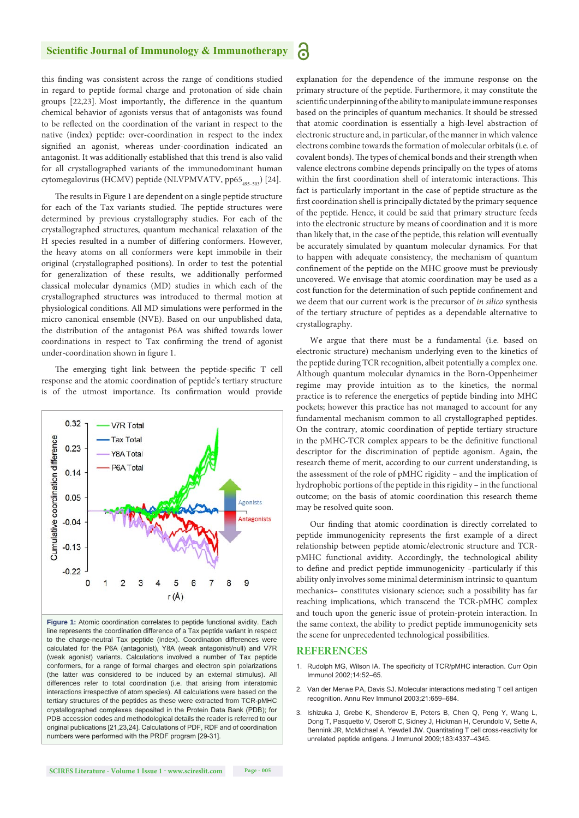#### **Scientific Journal of Immunology & Immunotherapy**

6

this finding was consistent across the range of conditions studied in regard to peptide formal charge and protonation of side chain groups [22,23]. Most importantly, the difference in the quantum chemical behavior of agonists versus that of antagonists was found to be reflected on the coordination of the variant in respect to the native (index) peptide: over-coordination in respect to the index signified an agonist, whereas under-coordination indicated an antagonist. It was additionally established that this trend is also valid for all crystallographed variants of the immunodominant human cytomegalovirus (HCMV) peptide (NLVPMVATV, pp65<sub>495-503</sub>) [24].

The results in Figure 1 are dependent on a single peptide structure for each of the Tax variants studied. The peptide structures were determined by previous crystallography studies. For each of the crystallographed structures, quantum mechanical relaxation of the H species resulted in a number of differing conformers. However, the heavy atoms on all conformers were kept immobile in their original (crystallographed positions). In order to test the potential for generalization of these results, we additionally performed classical molecular dynamics (MD) studies in which each of the crystallographed structures was introduced to thermal motion at physiological conditions. All MD simulations were performed in the micro canonical ensemble (NVE). Based on our unpublished data, the distribution of the antagonist P6A was shifted towards lower coordinations in respect to Tax confirming the trend of agonist under-coordination shown in figure 1.

The emerging tight link between the peptide-specific T cell response and the atomic coordination of peptide's tertiary structure is of the utmost importance. Its confirmation would provide



**Figure 1:** Atomic coordination correlates to peptide functional avidity. Each line represents the coordination difference of a Tax peptide variant in respect to the charge-neutral Tax peptide (index). Coordination differences were calculated for the P6A (antagonist), Y8A (weak antagonist/null) and V7R (weak agonist) variants. Calculations involved a number of Tax peptide conformers, for a range of formal charges and electron spin polarizations (the latter was considered to be induced by an external stimulus). All differences refer to total coordination (i.e. that arising from interatomic interactions irrespective of atom species). All calculations were based on the tertiary structures of the peptides as these were extracted from TCR-pMHC crystallographed complexes deposited in the Protein Data Bank (PDB); for PDB accession codes and methodological details the reader is referred to our original publications [21,23,24]. Calculations of PDF, RDF and of coordination numbers were performed with the PRDF program [29-31].

explanation for the dependence of the immune response on the primary structure of the peptide. Furthermore, it may constitute the scientific underpinning of the ability to manipulate immune responses based on the principles of quantum mechanics. It should be stressed that atomic coordination is essentially a high-level abstraction of electronic structure and, in particular, of the manner in which valence electrons combine towards the formation of molecular orbitals (i.e. of covalent bonds). The types of chemical bonds and their strength when valence electrons combine depends principally on the types of atoms within the first coordination shell of interatomic interactions. This fact is particularly important in the case of peptide structure as the first coordination shell is principally dictated by the primary sequence of the peptide. Hence, it could be said that primary structure feeds into the electronic structure by means of coordination and it is more than likely that, in the case of the peptide, this relation will eventually be accurately simulated by quantum molecular dynamics. For that to happen with adequate consistency, the mechanism of quantum confinement of the peptide on the MHC groove must be previously uncovered. We envisage that atomic coordination may be used as a cost function for the determination of such peptide confinement and we deem that our current work is the precursor of *in silico* synthesis of the tertiary structure of peptides as a dependable alternative to crystallography.

We argue that there must be a fundamental (i.e. based on electronic structure) mechanism underlying even to the kinetics of the peptide during TCR recognition, albeit potentially a complex one. Although quantum molecular dynamics in the Born-Oppenheimer regime may provide intuition as to the kinetics, the normal practice is to reference the energetics of peptide binding into MHC pockets; however this practice has not managed to account for any fundamental mechanism common to all crystallographed peptides. On the contrary, atomic coordination of peptide tertiary structure in the pMHC-TCR complex appears to be the definitive functional descriptor for the discrimination of peptide agonism. Again, the research theme of merit, according to our current understanding, is the assessment of the role of pMHC rigidity – and the implication of hydrophobic portions of the peptide in this rigidity – in the functional outcome; on the basis of atomic coordination this research theme may be resolved quite soon.

Our finding that atomic coordination is directly correlated to peptide immunogenicity represents the first example of a direct relationship between peptide atomic/electronic structure and TCRpMHC functional avidity. Accordingly, the technological ability to define and predict peptide immunogenicity –particularly if this ability only involves some minimal determinism intrinsic to quantum mechanics– constitutes visionary science; such a possibility has far reaching implications, which transcend the TCR-pMHC complex and touch upon the generic issue of protein-protein interaction. In the same context, the ability to predict peptide immunogenicity sets the scene for unprecedented technological possibilities.

#### **REFERENCES**

- 1. Rudolph MG, Wilson IA. The specificity of TCR/pMHC interaction. Curr Opin Immunol 2002;14:52–65.
- 2. Van der Merwe PA, Davis SJ. Molecular interactions mediating T cell antigen recognition. Annu Rev Immunol 2003;21:659–684.
- 3. Ishizuka J, Grebe K, Shenderov E, Peters B, Chen Q, Peng Y, Wang L, Dong T, Pasquetto V, Oseroff C, Sidney J, Hickman H, Cerundolo V, Sette A, Bennink JR, McMichael A, Yewdell JW. Quantitating T cell cross-reactivity for unrelated peptide antigens. J Immunol 2009;183:4337–4345.